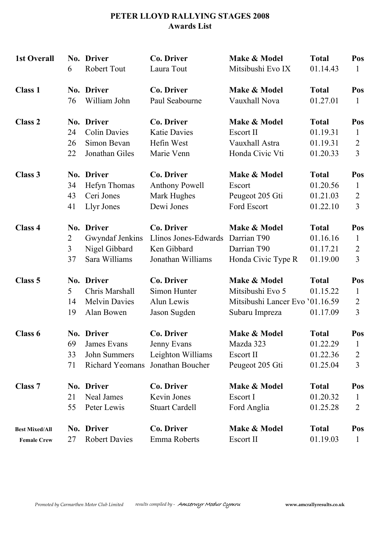## **PETER LLOYD RALLYING STAGES 2008 Awards List**

| <b>1st Overall</b>    | 6              | No. Driver<br><b>Robert Tout</b> | <b>Co. Driver</b><br>Laura Tout | Make & Model<br>Mitsibushi Evo IX | <b>Total</b><br>01.14.43 | Pos<br>1       |
|-----------------------|----------------|----------------------------------|---------------------------------|-----------------------------------|--------------------------|----------------|
| <b>Class 1</b>        |                | No. Driver                       | <b>Co. Driver</b>               | Make & Model                      | <b>Total</b>             | Pos            |
|                       | 76             | William John                     | Paul Seabourne                  | Vauxhall Nova                     | 01.27.01                 | 1              |
| <b>Class 2</b>        |                | No. Driver                       | <b>Co. Driver</b>               | Make & Model                      | <b>Total</b>             | Pos            |
|                       | 24             | <b>Colin Davies</b>              | <b>Katie Davies</b>             | Escort II                         | 01.19.31                 | $\mathbf{1}$   |
|                       | 26             | Simon Bevan                      | Hefin West                      | Vauxhall Astra                    | 01.19.31                 | $\overline{2}$ |
|                       | 22             | Jonathan Giles                   | Marie Venn                      | Honda Civic Vti                   | 01.20.33                 | 3              |
| <b>Class 3</b>        |                | No. Driver                       | <b>Co. Driver</b>               | Make & Model                      | <b>Total</b>             | Pos            |
|                       | 34             | Hefyn Thomas                     | <b>Anthony Powell</b>           | Escort                            | 01.20.56                 | $\mathbf{1}$   |
|                       | 43             | Ceri Jones                       | Mark Hughes                     | Peugeot 205 Gti                   | 01.21.03                 | $\overline{2}$ |
|                       | 41             | Llyr Jones                       | Dewi Jones                      | Ford Escort                       | 01.22.10                 | $\overline{3}$ |
| Class 4               |                | No. Driver                       | <b>Co. Driver</b>               | Make & Model                      | <b>Total</b>             | Pos            |
|                       | $\overline{2}$ | Gwyndaf Jenkins                  | Llinos Jones-Edwards            | Darrian T90                       | 01.16.16                 | $\mathbf{1}$   |
|                       | 3              | Nigel Gibbard                    | Ken Gibbard                     | Darrian T90                       | 01.17.21                 | $\overline{2}$ |
|                       | 37             | Sara Williams                    | Jonathan Williams               | Honda Civic Type R                | 01.19.00                 | 3              |
| Class 5               |                | No. Driver                       | <b>Co. Driver</b>               | Make & Model                      | <b>Total</b>             | Pos            |
|                       | 5              | Chris Marshall                   | Simon Hunter                    | Mitsibushi Evo 5                  | 01.15.22                 | $\mathbf{1}$   |
|                       | 14             | <b>Melvin Davies</b>             | Alun Lewis                      | Mitsibushi Lancer Evo '01.16.59   |                          | $\overline{2}$ |
|                       | 19             | Alan Bowen                       | Jason Sugden                    | Subaru Impreza                    | 01.17.09                 | $\overline{3}$ |
| Class 6               |                | No. Driver                       | <b>Co. Driver</b>               | Make & Model                      | <b>Total</b>             | Pos            |
|                       | 69             | James Evans                      | Jenny Evans                     | Mazda 323                         | 01.22.29                 | $\mathbf{1}$   |
|                       | 33             | John Summers                     | Leighton Williams               | Escort II                         | 01.22.36                 | $\overline{2}$ |
|                       | 71             | <b>Richard Yeomans</b>           | Jonathan Boucher                | Peugeot 205 Gti                   | 01.25.04                 | 3              |
| <b>Class 7</b>        |                | <b>No. Driver</b>                | <b>Co. Driver</b>               | Make & Model                      | <b>Total</b>             | Pos            |
|                       | 21             | <b>Neal James</b>                | Kevin Jones                     | Escort I                          | 01.20.32                 | $\mathbf{1}$   |
|                       | 55             | Peter Lewis                      | <b>Stuart Cardell</b>           | Ford Anglia                       | 01.25.28                 | $\overline{2}$ |
| <b>Best Mixed/All</b> |                | No. Driver                       | Co. Driver                      | Make & Model                      | <b>Total</b>             | Pos            |
| <b>Female Crew</b>    | 27             | <b>Robert Davies</b>             | Emma Roberts                    | Escort II                         | 01.19.03                 | $\mathbf{1}$   |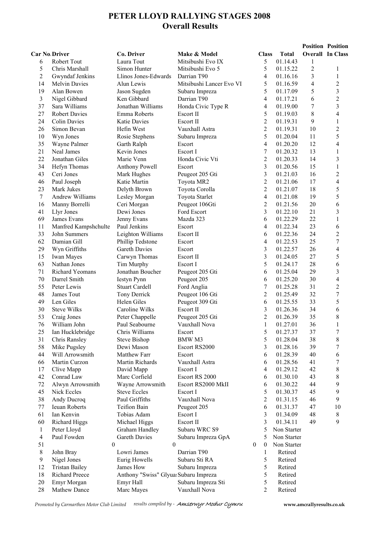# **PETER LLOYD RALLYING STAGES 2008 Overall Results**

| <b>Overall In Class</b><br><b>Car No Driver</b><br>Co. Driver<br>Make & Model<br><b>Class</b><br><b>Total</b><br>5<br>6<br><b>Robert Tout</b><br>Laura Tout<br>Mitsibushi Evo IX<br>01.14.43<br>1<br>5<br>Simon Hunter<br>5<br>$\overline{c}$<br>Chris Marshall<br>Mitsibushi Evo 5<br>01.15.22<br>1<br>$\overline{c}$<br>Llinos Jones-Edwards<br>Darrian T90<br>3<br>Gwyndaf Jenkins<br>4<br>01.16.16<br>1<br>$\overline{c}$<br>5<br>4<br>14<br><b>Melvin Davies</b><br>Alun Lewis<br>Mitsibushi Lancer Evo VI<br>01.16.59<br>3<br>5<br>19<br>01.17.09<br>5<br>Alan Bowen<br>Jason Sugden<br>Subaru Impreza<br>$\overline{c}$<br>3<br>Ken Gibbard<br>6<br>Nigel Gibbard<br>Darrian T90<br>4<br>01.17.21<br>3<br>$\boldsymbol{7}$<br>37<br>Sara Williams<br>Jonathan Williams<br>Honda Civic Type R<br>4<br>01.19.00<br>5<br>$8\,$<br>4<br>27<br><b>Robert Davies</b><br>Emma Roberts<br>Escort II<br>01.19.03<br>$\overline{c}$<br>9<br>24<br>$\mathbf{1}$<br><b>Colin Davies</b><br><b>Katie Davies</b><br>Escort II<br>01.19.31<br>$\overline{c}$<br>$\overline{2}$<br>10<br>26<br>Simon Bevan<br>Hefin West<br>Vauxhall Astra<br>01.19.31<br>5<br>5<br>11<br>10<br>Wyn Jones<br>Rosie Stephens<br>01.20.04<br>Subaru Impreza<br>$\overline{4}$<br>12<br>35<br>4<br>Wayne Palmer<br>Garth Ralph<br>01.20.20<br>Escort<br>$\boldsymbol{7}$<br>13<br>21<br>$\mathbf{1}$<br>Neal James<br>Kevin Jones<br>Escort I<br>01.20.32<br>$\overline{c}$<br>3<br>22<br>Jonathan Giles<br>Marie Venn<br>Honda Civic Vti<br>14<br>01.20.33<br>3<br>$\mathbf{1}$<br>34<br>15<br>Hefyn Thomas<br>Anthony Powell<br>Escort<br>01.20.56<br>$\overline{\mathbf{3}}$<br>$\overline{c}$<br>43<br>16<br>Ceri Jones<br>Mark Hughes<br>Peugeot 205 Gti<br>01.21.03<br>$\overline{c}$<br>4<br>17<br>46<br>Paul Joseph<br>Katie Martin<br>Toyota MR2<br>01.21.06<br>5<br>$\overline{c}$<br>23<br>18<br>Mark Jukes<br>Delyth Brown<br>01.21.07<br>Toyota Corolla<br>5<br>7<br>Andrew Williams<br>4<br>19<br>Lesley Morgan<br>Toyota Starlet<br>01.21.08<br>$\overline{c}$<br>6<br>20<br>16<br>Manny Borrelli<br>Ceri Morgan<br>Peugeot 106Gti<br>01.21.56<br>3<br>3<br>01.22.10<br>21<br>41<br>Llyr Jones<br>Dewi Jones<br>Ford Escort<br>69<br>01.22.29<br>22<br>1<br>James Evans<br>Jenny Evans<br>Mazda 323<br>6<br>23<br>6<br>11<br>Manfred Kampshchulte<br>Paul Jenkins<br>4<br>01.22.34<br>Escort<br>$\overline{\mathbf{c}}$<br>33<br>Leighton Williams<br>01.22.36<br>24<br>John Summers<br>Escort II<br>6<br>$\overline{7}$<br>62<br>Damian Gill<br>4<br>01.22.53<br>25<br>Phillip Tedstone<br>Escort<br>$\overline{4}$<br>29<br>3<br>26<br>Wyn Griffiths<br>Gareth Davies<br>Escort<br>01.22.57<br>3<br>5<br>27<br>15<br>Iwan Mayes<br>Carwyn Thomas<br>Escort II<br>01.24.05<br>5<br>6<br>Tim Murphy<br>28<br>63<br>Nathan Jones<br>Escort I<br>01.24.17<br>3<br>71<br>6<br>29<br>Richard Yeomans<br>Jonathan Boucher<br>01.25.04<br>Peugeot 205 Gti<br>4<br>70<br>6<br>30<br>Darrel Smith<br><b>Iestyn Pynn</b><br>Peugeot 205<br>01.25.20<br>$\boldsymbol{7}$<br>$\overline{c}$<br>55<br>31<br>Peter Lewis<br><b>Stuart Cardell</b><br>01.25.28<br>Ford Anglia<br>7<br>$\overline{c}$<br>32<br>48<br>James Tout<br>Tony Derrick<br>01.25.49<br>Peugeot 106 Gti<br>5<br>33<br>49<br>Len Giles<br>Helen Giles<br>6<br>01.25.55<br>Peugeot 309 Gti<br>6<br>3<br>34<br>30<br><b>Steve Wilks</b><br>Caroline Wilks<br>Escort II<br>01.26.36<br>$\overline{c}$<br>8<br>53<br>35<br>Craig Jones<br>Peter Chappelle<br>Peugeot 205 Gti<br>01.26.39<br>76<br>36<br>William John<br>Paul Seabourne<br>Vauxhall Nova<br>1<br>01.27.01<br>1<br>Ian Hucklebridge<br>Chris Williams<br>5<br>01.27.37<br>37<br>25<br>Escort<br>5<br>8<br>01.28.04<br>38<br>31<br>Chris Ransley<br><b>Steve Bishop</b><br>BMW M3<br>7<br>58<br>Dewi Mason<br>3<br>01.28.16<br>39<br>Mike Pugsley<br>Escort RS2000<br>6<br>Matthew Farr<br>01.28.39<br>40<br>44<br>Will Arrowsmith<br>Escort<br>6<br>7<br>Martin Curzon<br>Martin Richards<br>Vauxhall Astra<br>01.28.56<br>41<br>66<br>6<br>8<br>$\overline{4}$<br>01.29.12<br>42<br>17<br>Clive Mapp<br>David Mapp<br>Escort I<br>8<br>42<br>Conrad Law<br>Marc Corfield<br>Escort RS 2000<br>01.30.10<br>43<br>6<br>9<br>Alwyn Arrowsmith<br>Wayne Arrowsmith<br>Escort RS2000 MkII<br>01.30.22<br>44<br>72<br>6<br>5<br>9<br>45<br>45<br>Nick Eccles<br><b>Steve Eccles</b><br>Escort I<br>01.30.37<br>38<br>Paul Griffiths<br>$\overline{c}$<br>46<br>9<br>Andy Ducroq<br>Vauxhall Nova<br>01.31.15<br>$77 \,$<br>6<br>01.31.37<br>10<br>Ieuan Roberts<br>Teifion Bain<br>Peugeot 205<br>47<br>61<br>3<br>48<br>8<br>Ian Kenvin<br>Tobias Adam<br>Escort I<br>01.34.09<br>9<br>3<br>01.34.11<br>49<br>60<br>Richard Higgs<br>Michael Higgs<br>Escort II<br>Subaru WRC S9<br>5<br>$\mathbf{1}$<br>Peter Lloyd<br>Graham Handley<br>Non Starter<br>$\overline{\mathcal{A}}$<br>Paul Fowden<br>Gareth Davies<br>5<br>Non Starter<br>Subaru Impreza GpA<br>51<br>$\theta$<br>$\theta$<br>$\boldsymbol{0}$<br>$\boldsymbol{0}$<br>Non Starter<br>$8\,$<br>John Bray<br>Lowri James<br>Darrian T90<br>$\mathbf{1}$<br>Retired<br>$\overline{9}$<br>Nigel Jones<br>Eurig Howells<br>Subaru Sti RA<br>5<br>Retired<br><b>Tristan Bailey</b><br>James How<br>5<br>12<br>Subaru Impreza<br>Retired<br>5<br>Richard Preece<br>Anthony "Swiss" Glyua: Subaru Impreza<br>18<br>Retired<br>20<br>Emyr Morgan<br>Subaru Impreza Sti<br>5<br>Emyr Hall<br>Retired<br>28<br>Mathew Dance<br>Marc Mayes<br>Vauxhall Nova<br>$\overline{c}$<br>Retired |  |  |  |  | <b>Position Position</b> |
|---------------------------------------------------------------------------------------------------------------------------------------------------------------------------------------------------------------------------------------------------------------------------------------------------------------------------------------------------------------------------------------------------------------------------------------------------------------------------------------------------------------------------------------------------------------------------------------------------------------------------------------------------------------------------------------------------------------------------------------------------------------------------------------------------------------------------------------------------------------------------------------------------------------------------------------------------------------------------------------------------------------------------------------------------------------------------------------------------------------------------------------------------------------------------------------------------------------------------------------------------------------------------------------------------------------------------------------------------------------------------------------------------------------------------------------------------------------------------------------------------------------------------------------------------------------------------------------------------------------------------------------------------------------------------------------------------------------------------------------------------------------------------------------------------------------------------------------------------------------------------------------------------------------------------------------------------------------------------------------------------------------------------------------------------------------------------------------------------------------------------------------------------------------------------------------------------------------------------------------------------------------------------------------------------------------------------------------------------------------------------------------------------------------------------------------------------------------------------------------------------------------------------------------------------------------------------------------------------------------------------------------------------------------------------------------------------------------------------------------------------------------------------------------------------------------------------------------------------------------------------------------------------------------------------------------------------------------------------------------------------------------------------------------------------------------------------------------------------------------------------------------------------------------------------------------------------------------------------------------------------------------------------------------------------------------------------------------------------------------------------------------------------------------------------------------------------------------------------------------------------------------------------------------------------------------------------------------------------------------------------------------------------------------------------------------------------------------------------------------------------------------------------------------------------------------------------------------------------------------------------------------------------------------------------------------------------------------------------------------------------------------------------------------------------------------------------------------------------------------------------------------------------------------------------------------------------------------------------------------------------------------------------------------------------------------------------------------------------------------------------------------------------------------------------------------------------------------------------------------------------------------------------------------------------------------------------------------------------------------------------------------------------------------------------------------------------------------------------------------------------------------------------------------------------------------------------------------------------------------------------------------------------------------------------------------------------------------------------------------------------------------------------------------------------------------------------------------------------------------------------------------------------------------------------------------------------------------------------------------------------------------------------------------------------------------------------------------------------------------------------------------------------------------------------------------------------------------------------------------------------------------------------------------------|--|--|--|--|--------------------------|
|                                                                                                                                                                                                                                                                                                                                                                                                                                                                                                                                                                                                                                                                                                                                                                                                                                                                                                                                                                                                                                                                                                                                                                                                                                                                                                                                                                                                                                                                                                                                                                                                                                                                                                                                                                                                                                                                                                                                                                                                                                                                                                                                                                                                                                                                                                                                                                                                                                                                                                                                                                                                                                                                                                                                                                                                                                                                                                                                                                                                                                                                                                                                                                                                                                                                                                                                                                                                                                                                                                                                                                                                                                                                                                                                                                                                                                                                                                                                                                                                                                                                                                                                                                                                                                                                                                                                                                                                                                                                                                                                                                                                                                                                                                                                                                                                                                                                                                                                                                                                                                                                                                                                                                                                                                                                                                                                                                                                                                                                                                                                             |  |  |  |  |                          |
|                                                                                                                                                                                                                                                                                                                                                                                                                                                                                                                                                                                                                                                                                                                                                                                                                                                                                                                                                                                                                                                                                                                                                                                                                                                                                                                                                                                                                                                                                                                                                                                                                                                                                                                                                                                                                                                                                                                                                                                                                                                                                                                                                                                                                                                                                                                                                                                                                                                                                                                                                                                                                                                                                                                                                                                                                                                                                                                                                                                                                                                                                                                                                                                                                                                                                                                                                                                                                                                                                                                                                                                                                                                                                                                                                                                                                                                                                                                                                                                                                                                                                                                                                                                                                                                                                                                                                                                                                                                                                                                                                                                                                                                                                                                                                                                                                                                                                                                                                                                                                                                                                                                                                                                                                                                                                                                                                                                                                                                                                                                                             |  |  |  |  |                          |
|                                                                                                                                                                                                                                                                                                                                                                                                                                                                                                                                                                                                                                                                                                                                                                                                                                                                                                                                                                                                                                                                                                                                                                                                                                                                                                                                                                                                                                                                                                                                                                                                                                                                                                                                                                                                                                                                                                                                                                                                                                                                                                                                                                                                                                                                                                                                                                                                                                                                                                                                                                                                                                                                                                                                                                                                                                                                                                                                                                                                                                                                                                                                                                                                                                                                                                                                                                                                                                                                                                                                                                                                                                                                                                                                                                                                                                                                                                                                                                                                                                                                                                                                                                                                                                                                                                                                                                                                                                                                                                                                                                                                                                                                                                                                                                                                                                                                                                                                                                                                                                                                                                                                                                                                                                                                                                                                                                                                                                                                                                                                             |  |  |  |  |                          |
|                                                                                                                                                                                                                                                                                                                                                                                                                                                                                                                                                                                                                                                                                                                                                                                                                                                                                                                                                                                                                                                                                                                                                                                                                                                                                                                                                                                                                                                                                                                                                                                                                                                                                                                                                                                                                                                                                                                                                                                                                                                                                                                                                                                                                                                                                                                                                                                                                                                                                                                                                                                                                                                                                                                                                                                                                                                                                                                                                                                                                                                                                                                                                                                                                                                                                                                                                                                                                                                                                                                                                                                                                                                                                                                                                                                                                                                                                                                                                                                                                                                                                                                                                                                                                                                                                                                                                                                                                                                                                                                                                                                                                                                                                                                                                                                                                                                                                                                                                                                                                                                                                                                                                                                                                                                                                                                                                                                                                                                                                                                                             |  |  |  |  |                          |
|                                                                                                                                                                                                                                                                                                                                                                                                                                                                                                                                                                                                                                                                                                                                                                                                                                                                                                                                                                                                                                                                                                                                                                                                                                                                                                                                                                                                                                                                                                                                                                                                                                                                                                                                                                                                                                                                                                                                                                                                                                                                                                                                                                                                                                                                                                                                                                                                                                                                                                                                                                                                                                                                                                                                                                                                                                                                                                                                                                                                                                                                                                                                                                                                                                                                                                                                                                                                                                                                                                                                                                                                                                                                                                                                                                                                                                                                                                                                                                                                                                                                                                                                                                                                                                                                                                                                                                                                                                                                                                                                                                                                                                                                                                                                                                                                                                                                                                                                                                                                                                                                                                                                                                                                                                                                                                                                                                                                                                                                                                                                             |  |  |  |  |                          |
|                                                                                                                                                                                                                                                                                                                                                                                                                                                                                                                                                                                                                                                                                                                                                                                                                                                                                                                                                                                                                                                                                                                                                                                                                                                                                                                                                                                                                                                                                                                                                                                                                                                                                                                                                                                                                                                                                                                                                                                                                                                                                                                                                                                                                                                                                                                                                                                                                                                                                                                                                                                                                                                                                                                                                                                                                                                                                                                                                                                                                                                                                                                                                                                                                                                                                                                                                                                                                                                                                                                                                                                                                                                                                                                                                                                                                                                                                                                                                                                                                                                                                                                                                                                                                                                                                                                                                                                                                                                                                                                                                                                                                                                                                                                                                                                                                                                                                                                                                                                                                                                                                                                                                                                                                                                                                                                                                                                                                                                                                                                                             |  |  |  |  |                          |
|                                                                                                                                                                                                                                                                                                                                                                                                                                                                                                                                                                                                                                                                                                                                                                                                                                                                                                                                                                                                                                                                                                                                                                                                                                                                                                                                                                                                                                                                                                                                                                                                                                                                                                                                                                                                                                                                                                                                                                                                                                                                                                                                                                                                                                                                                                                                                                                                                                                                                                                                                                                                                                                                                                                                                                                                                                                                                                                                                                                                                                                                                                                                                                                                                                                                                                                                                                                                                                                                                                                                                                                                                                                                                                                                                                                                                                                                                                                                                                                                                                                                                                                                                                                                                                                                                                                                                                                                                                                                                                                                                                                                                                                                                                                                                                                                                                                                                                                                                                                                                                                                                                                                                                                                                                                                                                                                                                                                                                                                                                                                             |  |  |  |  |                          |
|                                                                                                                                                                                                                                                                                                                                                                                                                                                                                                                                                                                                                                                                                                                                                                                                                                                                                                                                                                                                                                                                                                                                                                                                                                                                                                                                                                                                                                                                                                                                                                                                                                                                                                                                                                                                                                                                                                                                                                                                                                                                                                                                                                                                                                                                                                                                                                                                                                                                                                                                                                                                                                                                                                                                                                                                                                                                                                                                                                                                                                                                                                                                                                                                                                                                                                                                                                                                                                                                                                                                                                                                                                                                                                                                                                                                                                                                                                                                                                                                                                                                                                                                                                                                                                                                                                                                                                                                                                                                                                                                                                                                                                                                                                                                                                                                                                                                                                                                                                                                                                                                                                                                                                                                                                                                                                                                                                                                                                                                                                                                             |  |  |  |  |                          |
|                                                                                                                                                                                                                                                                                                                                                                                                                                                                                                                                                                                                                                                                                                                                                                                                                                                                                                                                                                                                                                                                                                                                                                                                                                                                                                                                                                                                                                                                                                                                                                                                                                                                                                                                                                                                                                                                                                                                                                                                                                                                                                                                                                                                                                                                                                                                                                                                                                                                                                                                                                                                                                                                                                                                                                                                                                                                                                                                                                                                                                                                                                                                                                                                                                                                                                                                                                                                                                                                                                                                                                                                                                                                                                                                                                                                                                                                                                                                                                                                                                                                                                                                                                                                                                                                                                                                                                                                                                                                                                                                                                                                                                                                                                                                                                                                                                                                                                                                                                                                                                                                                                                                                                                                                                                                                                                                                                                                                                                                                                                                             |  |  |  |  |                          |
|                                                                                                                                                                                                                                                                                                                                                                                                                                                                                                                                                                                                                                                                                                                                                                                                                                                                                                                                                                                                                                                                                                                                                                                                                                                                                                                                                                                                                                                                                                                                                                                                                                                                                                                                                                                                                                                                                                                                                                                                                                                                                                                                                                                                                                                                                                                                                                                                                                                                                                                                                                                                                                                                                                                                                                                                                                                                                                                                                                                                                                                                                                                                                                                                                                                                                                                                                                                                                                                                                                                                                                                                                                                                                                                                                                                                                                                                                                                                                                                                                                                                                                                                                                                                                                                                                                                                                                                                                                                                                                                                                                                                                                                                                                                                                                                                                                                                                                                                                                                                                                                                                                                                                                                                                                                                                                                                                                                                                                                                                                                                             |  |  |  |  |                          |
|                                                                                                                                                                                                                                                                                                                                                                                                                                                                                                                                                                                                                                                                                                                                                                                                                                                                                                                                                                                                                                                                                                                                                                                                                                                                                                                                                                                                                                                                                                                                                                                                                                                                                                                                                                                                                                                                                                                                                                                                                                                                                                                                                                                                                                                                                                                                                                                                                                                                                                                                                                                                                                                                                                                                                                                                                                                                                                                                                                                                                                                                                                                                                                                                                                                                                                                                                                                                                                                                                                                                                                                                                                                                                                                                                                                                                                                                                                                                                                                                                                                                                                                                                                                                                                                                                                                                                                                                                                                                                                                                                                                                                                                                                                                                                                                                                                                                                                                                                                                                                                                                                                                                                                                                                                                                                                                                                                                                                                                                                                                                             |  |  |  |  |                          |
|                                                                                                                                                                                                                                                                                                                                                                                                                                                                                                                                                                                                                                                                                                                                                                                                                                                                                                                                                                                                                                                                                                                                                                                                                                                                                                                                                                                                                                                                                                                                                                                                                                                                                                                                                                                                                                                                                                                                                                                                                                                                                                                                                                                                                                                                                                                                                                                                                                                                                                                                                                                                                                                                                                                                                                                                                                                                                                                                                                                                                                                                                                                                                                                                                                                                                                                                                                                                                                                                                                                                                                                                                                                                                                                                                                                                                                                                                                                                                                                                                                                                                                                                                                                                                                                                                                                                                                                                                                                                                                                                                                                                                                                                                                                                                                                                                                                                                                                                                                                                                                                                                                                                                                                                                                                                                                                                                                                                                                                                                                                                             |  |  |  |  |                          |
|                                                                                                                                                                                                                                                                                                                                                                                                                                                                                                                                                                                                                                                                                                                                                                                                                                                                                                                                                                                                                                                                                                                                                                                                                                                                                                                                                                                                                                                                                                                                                                                                                                                                                                                                                                                                                                                                                                                                                                                                                                                                                                                                                                                                                                                                                                                                                                                                                                                                                                                                                                                                                                                                                                                                                                                                                                                                                                                                                                                                                                                                                                                                                                                                                                                                                                                                                                                                                                                                                                                                                                                                                                                                                                                                                                                                                                                                                                                                                                                                                                                                                                                                                                                                                                                                                                                                                                                                                                                                                                                                                                                                                                                                                                                                                                                                                                                                                                                                                                                                                                                                                                                                                                                                                                                                                                                                                                                                                                                                                                                                             |  |  |  |  |                          |
|                                                                                                                                                                                                                                                                                                                                                                                                                                                                                                                                                                                                                                                                                                                                                                                                                                                                                                                                                                                                                                                                                                                                                                                                                                                                                                                                                                                                                                                                                                                                                                                                                                                                                                                                                                                                                                                                                                                                                                                                                                                                                                                                                                                                                                                                                                                                                                                                                                                                                                                                                                                                                                                                                                                                                                                                                                                                                                                                                                                                                                                                                                                                                                                                                                                                                                                                                                                                                                                                                                                                                                                                                                                                                                                                                                                                                                                                                                                                                                                                                                                                                                                                                                                                                                                                                                                                                                                                                                                                                                                                                                                                                                                                                                                                                                                                                                                                                                                                                                                                                                                                                                                                                                                                                                                                                                                                                                                                                                                                                                                                             |  |  |  |  |                          |
|                                                                                                                                                                                                                                                                                                                                                                                                                                                                                                                                                                                                                                                                                                                                                                                                                                                                                                                                                                                                                                                                                                                                                                                                                                                                                                                                                                                                                                                                                                                                                                                                                                                                                                                                                                                                                                                                                                                                                                                                                                                                                                                                                                                                                                                                                                                                                                                                                                                                                                                                                                                                                                                                                                                                                                                                                                                                                                                                                                                                                                                                                                                                                                                                                                                                                                                                                                                                                                                                                                                                                                                                                                                                                                                                                                                                                                                                                                                                                                                                                                                                                                                                                                                                                                                                                                                                                                                                                                                                                                                                                                                                                                                                                                                                                                                                                                                                                                                                                                                                                                                                                                                                                                                                                                                                                                                                                                                                                                                                                                                                             |  |  |  |  |                          |
|                                                                                                                                                                                                                                                                                                                                                                                                                                                                                                                                                                                                                                                                                                                                                                                                                                                                                                                                                                                                                                                                                                                                                                                                                                                                                                                                                                                                                                                                                                                                                                                                                                                                                                                                                                                                                                                                                                                                                                                                                                                                                                                                                                                                                                                                                                                                                                                                                                                                                                                                                                                                                                                                                                                                                                                                                                                                                                                                                                                                                                                                                                                                                                                                                                                                                                                                                                                                                                                                                                                                                                                                                                                                                                                                                                                                                                                                                                                                                                                                                                                                                                                                                                                                                                                                                                                                                                                                                                                                                                                                                                                                                                                                                                                                                                                                                                                                                                                                                                                                                                                                                                                                                                                                                                                                                                                                                                                                                                                                                                                                             |  |  |  |  |                          |
|                                                                                                                                                                                                                                                                                                                                                                                                                                                                                                                                                                                                                                                                                                                                                                                                                                                                                                                                                                                                                                                                                                                                                                                                                                                                                                                                                                                                                                                                                                                                                                                                                                                                                                                                                                                                                                                                                                                                                                                                                                                                                                                                                                                                                                                                                                                                                                                                                                                                                                                                                                                                                                                                                                                                                                                                                                                                                                                                                                                                                                                                                                                                                                                                                                                                                                                                                                                                                                                                                                                                                                                                                                                                                                                                                                                                                                                                                                                                                                                                                                                                                                                                                                                                                                                                                                                                                                                                                                                                                                                                                                                                                                                                                                                                                                                                                                                                                                                                                                                                                                                                                                                                                                                                                                                                                                                                                                                                                                                                                                                                             |  |  |  |  |                          |
|                                                                                                                                                                                                                                                                                                                                                                                                                                                                                                                                                                                                                                                                                                                                                                                                                                                                                                                                                                                                                                                                                                                                                                                                                                                                                                                                                                                                                                                                                                                                                                                                                                                                                                                                                                                                                                                                                                                                                                                                                                                                                                                                                                                                                                                                                                                                                                                                                                                                                                                                                                                                                                                                                                                                                                                                                                                                                                                                                                                                                                                                                                                                                                                                                                                                                                                                                                                                                                                                                                                                                                                                                                                                                                                                                                                                                                                                                                                                                                                                                                                                                                                                                                                                                                                                                                                                                                                                                                                                                                                                                                                                                                                                                                                                                                                                                                                                                                                                                                                                                                                                                                                                                                                                                                                                                                                                                                                                                                                                                                                                             |  |  |  |  |                          |
|                                                                                                                                                                                                                                                                                                                                                                                                                                                                                                                                                                                                                                                                                                                                                                                                                                                                                                                                                                                                                                                                                                                                                                                                                                                                                                                                                                                                                                                                                                                                                                                                                                                                                                                                                                                                                                                                                                                                                                                                                                                                                                                                                                                                                                                                                                                                                                                                                                                                                                                                                                                                                                                                                                                                                                                                                                                                                                                                                                                                                                                                                                                                                                                                                                                                                                                                                                                                                                                                                                                                                                                                                                                                                                                                                                                                                                                                                                                                                                                                                                                                                                                                                                                                                                                                                                                                                                                                                                                                                                                                                                                                                                                                                                                                                                                                                                                                                                                                                                                                                                                                                                                                                                                                                                                                                                                                                                                                                                                                                                                                             |  |  |  |  |                          |
|                                                                                                                                                                                                                                                                                                                                                                                                                                                                                                                                                                                                                                                                                                                                                                                                                                                                                                                                                                                                                                                                                                                                                                                                                                                                                                                                                                                                                                                                                                                                                                                                                                                                                                                                                                                                                                                                                                                                                                                                                                                                                                                                                                                                                                                                                                                                                                                                                                                                                                                                                                                                                                                                                                                                                                                                                                                                                                                                                                                                                                                                                                                                                                                                                                                                                                                                                                                                                                                                                                                                                                                                                                                                                                                                                                                                                                                                                                                                                                                                                                                                                                                                                                                                                                                                                                                                                                                                                                                                                                                                                                                                                                                                                                                                                                                                                                                                                                                                                                                                                                                                                                                                                                                                                                                                                                                                                                                                                                                                                                                                             |  |  |  |  |                          |
|                                                                                                                                                                                                                                                                                                                                                                                                                                                                                                                                                                                                                                                                                                                                                                                                                                                                                                                                                                                                                                                                                                                                                                                                                                                                                                                                                                                                                                                                                                                                                                                                                                                                                                                                                                                                                                                                                                                                                                                                                                                                                                                                                                                                                                                                                                                                                                                                                                                                                                                                                                                                                                                                                                                                                                                                                                                                                                                                                                                                                                                                                                                                                                                                                                                                                                                                                                                                                                                                                                                                                                                                                                                                                                                                                                                                                                                                                                                                                                                                                                                                                                                                                                                                                                                                                                                                                                                                                                                                                                                                                                                                                                                                                                                                                                                                                                                                                                                                                                                                                                                                                                                                                                                                                                                                                                                                                                                                                                                                                                                                             |  |  |  |  |                          |
|                                                                                                                                                                                                                                                                                                                                                                                                                                                                                                                                                                                                                                                                                                                                                                                                                                                                                                                                                                                                                                                                                                                                                                                                                                                                                                                                                                                                                                                                                                                                                                                                                                                                                                                                                                                                                                                                                                                                                                                                                                                                                                                                                                                                                                                                                                                                                                                                                                                                                                                                                                                                                                                                                                                                                                                                                                                                                                                                                                                                                                                                                                                                                                                                                                                                                                                                                                                                                                                                                                                                                                                                                                                                                                                                                                                                                                                                                                                                                                                                                                                                                                                                                                                                                                                                                                                                                                                                                                                                                                                                                                                                                                                                                                                                                                                                                                                                                                                                                                                                                                                                                                                                                                                                                                                                                                                                                                                                                                                                                                                                             |  |  |  |  |                          |
|                                                                                                                                                                                                                                                                                                                                                                                                                                                                                                                                                                                                                                                                                                                                                                                                                                                                                                                                                                                                                                                                                                                                                                                                                                                                                                                                                                                                                                                                                                                                                                                                                                                                                                                                                                                                                                                                                                                                                                                                                                                                                                                                                                                                                                                                                                                                                                                                                                                                                                                                                                                                                                                                                                                                                                                                                                                                                                                                                                                                                                                                                                                                                                                                                                                                                                                                                                                                                                                                                                                                                                                                                                                                                                                                                                                                                                                                                                                                                                                                                                                                                                                                                                                                                                                                                                                                                                                                                                                                                                                                                                                                                                                                                                                                                                                                                                                                                                                                                                                                                                                                                                                                                                                                                                                                                                                                                                                                                                                                                                                                             |  |  |  |  |                          |
|                                                                                                                                                                                                                                                                                                                                                                                                                                                                                                                                                                                                                                                                                                                                                                                                                                                                                                                                                                                                                                                                                                                                                                                                                                                                                                                                                                                                                                                                                                                                                                                                                                                                                                                                                                                                                                                                                                                                                                                                                                                                                                                                                                                                                                                                                                                                                                                                                                                                                                                                                                                                                                                                                                                                                                                                                                                                                                                                                                                                                                                                                                                                                                                                                                                                                                                                                                                                                                                                                                                                                                                                                                                                                                                                                                                                                                                                                                                                                                                                                                                                                                                                                                                                                                                                                                                                                                                                                                                                                                                                                                                                                                                                                                                                                                                                                                                                                                                                                                                                                                                                                                                                                                                                                                                                                                                                                                                                                                                                                                                                             |  |  |  |  |                          |
|                                                                                                                                                                                                                                                                                                                                                                                                                                                                                                                                                                                                                                                                                                                                                                                                                                                                                                                                                                                                                                                                                                                                                                                                                                                                                                                                                                                                                                                                                                                                                                                                                                                                                                                                                                                                                                                                                                                                                                                                                                                                                                                                                                                                                                                                                                                                                                                                                                                                                                                                                                                                                                                                                                                                                                                                                                                                                                                                                                                                                                                                                                                                                                                                                                                                                                                                                                                                                                                                                                                                                                                                                                                                                                                                                                                                                                                                                                                                                                                                                                                                                                                                                                                                                                                                                                                                                                                                                                                                                                                                                                                                                                                                                                                                                                                                                                                                                                                                                                                                                                                                                                                                                                                                                                                                                                                                                                                                                                                                                                                                             |  |  |  |  |                          |
|                                                                                                                                                                                                                                                                                                                                                                                                                                                                                                                                                                                                                                                                                                                                                                                                                                                                                                                                                                                                                                                                                                                                                                                                                                                                                                                                                                                                                                                                                                                                                                                                                                                                                                                                                                                                                                                                                                                                                                                                                                                                                                                                                                                                                                                                                                                                                                                                                                                                                                                                                                                                                                                                                                                                                                                                                                                                                                                                                                                                                                                                                                                                                                                                                                                                                                                                                                                                                                                                                                                                                                                                                                                                                                                                                                                                                                                                                                                                                                                                                                                                                                                                                                                                                                                                                                                                                                                                                                                                                                                                                                                                                                                                                                                                                                                                                                                                                                                                                                                                                                                                                                                                                                                                                                                                                                                                                                                                                                                                                                                                             |  |  |  |  |                          |
|                                                                                                                                                                                                                                                                                                                                                                                                                                                                                                                                                                                                                                                                                                                                                                                                                                                                                                                                                                                                                                                                                                                                                                                                                                                                                                                                                                                                                                                                                                                                                                                                                                                                                                                                                                                                                                                                                                                                                                                                                                                                                                                                                                                                                                                                                                                                                                                                                                                                                                                                                                                                                                                                                                                                                                                                                                                                                                                                                                                                                                                                                                                                                                                                                                                                                                                                                                                                                                                                                                                                                                                                                                                                                                                                                                                                                                                                                                                                                                                                                                                                                                                                                                                                                                                                                                                                                                                                                                                                                                                                                                                                                                                                                                                                                                                                                                                                                                                                                                                                                                                                                                                                                                                                                                                                                                                                                                                                                                                                                                                                             |  |  |  |  |                          |
|                                                                                                                                                                                                                                                                                                                                                                                                                                                                                                                                                                                                                                                                                                                                                                                                                                                                                                                                                                                                                                                                                                                                                                                                                                                                                                                                                                                                                                                                                                                                                                                                                                                                                                                                                                                                                                                                                                                                                                                                                                                                                                                                                                                                                                                                                                                                                                                                                                                                                                                                                                                                                                                                                                                                                                                                                                                                                                                                                                                                                                                                                                                                                                                                                                                                                                                                                                                                                                                                                                                                                                                                                                                                                                                                                                                                                                                                                                                                                                                                                                                                                                                                                                                                                                                                                                                                                                                                                                                                                                                                                                                                                                                                                                                                                                                                                                                                                                                                                                                                                                                                                                                                                                                                                                                                                                                                                                                                                                                                                                                                             |  |  |  |  |                          |
|                                                                                                                                                                                                                                                                                                                                                                                                                                                                                                                                                                                                                                                                                                                                                                                                                                                                                                                                                                                                                                                                                                                                                                                                                                                                                                                                                                                                                                                                                                                                                                                                                                                                                                                                                                                                                                                                                                                                                                                                                                                                                                                                                                                                                                                                                                                                                                                                                                                                                                                                                                                                                                                                                                                                                                                                                                                                                                                                                                                                                                                                                                                                                                                                                                                                                                                                                                                                                                                                                                                                                                                                                                                                                                                                                                                                                                                                                                                                                                                                                                                                                                                                                                                                                                                                                                                                                                                                                                                                                                                                                                                                                                                                                                                                                                                                                                                                                                                                                                                                                                                                                                                                                                                                                                                                                                                                                                                                                                                                                                                                             |  |  |  |  |                          |
|                                                                                                                                                                                                                                                                                                                                                                                                                                                                                                                                                                                                                                                                                                                                                                                                                                                                                                                                                                                                                                                                                                                                                                                                                                                                                                                                                                                                                                                                                                                                                                                                                                                                                                                                                                                                                                                                                                                                                                                                                                                                                                                                                                                                                                                                                                                                                                                                                                                                                                                                                                                                                                                                                                                                                                                                                                                                                                                                                                                                                                                                                                                                                                                                                                                                                                                                                                                                                                                                                                                                                                                                                                                                                                                                                                                                                                                                                                                                                                                                                                                                                                                                                                                                                                                                                                                                                                                                                                                                                                                                                                                                                                                                                                                                                                                                                                                                                                                                                                                                                                                                                                                                                                                                                                                                                                                                                                                                                                                                                                                                             |  |  |  |  |                          |
|                                                                                                                                                                                                                                                                                                                                                                                                                                                                                                                                                                                                                                                                                                                                                                                                                                                                                                                                                                                                                                                                                                                                                                                                                                                                                                                                                                                                                                                                                                                                                                                                                                                                                                                                                                                                                                                                                                                                                                                                                                                                                                                                                                                                                                                                                                                                                                                                                                                                                                                                                                                                                                                                                                                                                                                                                                                                                                                                                                                                                                                                                                                                                                                                                                                                                                                                                                                                                                                                                                                                                                                                                                                                                                                                                                                                                                                                                                                                                                                                                                                                                                                                                                                                                                                                                                                                                                                                                                                                                                                                                                                                                                                                                                                                                                                                                                                                                                                                                                                                                                                                                                                                                                                                                                                                                                                                                                                                                                                                                                                                             |  |  |  |  |                          |
|                                                                                                                                                                                                                                                                                                                                                                                                                                                                                                                                                                                                                                                                                                                                                                                                                                                                                                                                                                                                                                                                                                                                                                                                                                                                                                                                                                                                                                                                                                                                                                                                                                                                                                                                                                                                                                                                                                                                                                                                                                                                                                                                                                                                                                                                                                                                                                                                                                                                                                                                                                                                                                                                                                                                                                                                                                                                                                                                                                                                                                                                                                                                                                                                                                                                                                                                                                                                                                                                                                                                                                                                                                                                                                                                                                                                                                                                                                                                                                                                                                                                                                                                                                                                                                                                                                                                                                                                                                                                                                                                                                                                                                                                                                                                                                                                                                                                                                                                                                                                                                                                                                                                                                                                                                                                                                                                                                                                                                                                                                                                             |  |  |  |  |                          |
|                                                                                                                                                                                                                                                                                                                                                                                                                                                                                                                                                                                                                                                                                                                                                                                                                                                                                                                                                                                                                                                                                                                                                                                                                                                                                                                                                                                                                                                                                                                                                                                                                                                                                                                                                                                                                                                                                                                                                                                                                                                                                                                                                                                                                                                                                                                                                                                                                                                                                                                                                                                                                                                                                                                                                                                                                                                                                                                                                                                                                                                                                                                                                                                                                                                                                                                                                                                                                                                                                                                                                                                                                                                                                                                                                                                                                                                                                                                                                                                                                                                                                                                                                                                                                                                                                                                                                                                                                                                                                                                                                                                                                                                                                                                                                                                                                                                                                                                                                                                                                                                                                                                                                                                                                                                                                                                                                                                                                                                                                                                                             |  |  |  |  |                          |
|                                                                                                                                                                                                                                                                                                                                                                                                                                                                                                                                                                                                                                                                                                                                                                                                                                                                                                                                                                                                                                                                                                                                                                                                                                                                                                                                                                                                                                                                                                                                                                                                                                                                                                                                                                                                                                                                                                                                                                                                                                                                                                                                                                                                                                                                                                                                                                                                                                                                                                                                                                                                                                                                                                                                                                                                                                                                                                                                                                                                                                                                                                                                                                                                                                                                                                                                                                                                                                                                                                                                                                                                                                                                                                                                                                                                                                                                                                                                                                                                                                                                                                                                                                                                                                                                                                                                                                                                                                                                                                                                                                                                                                                                                                                                                                                                                                                                                                                                                                                                                                                                                                                                                                                                                                                                                                                                                                                                                                                                                                                                             |  |  |  |  |                          |
|                                                                                                                                                                                                                                                                                                                                                                                                                                                                                                                                                                                                                                                                                                                                                                                                                                                                                                                                                                                                                                                                                                                                                                                                                                                                                                                                                                                                                                                                                                                                                                                                                                                                                                                                                                                                                                                                                                                                                                                                                                                                                                                                                                                                                                                                                                                                                                                                                                                                                                                                                                                                                                                                                                                                                                                                                                                                                                                                                                                                                                                                                                                                                                                                                                                                                                                                                                                                                                                                                                                                                                                                                                                                                                                                                                                                                                                                                                                                                                                                                                                                                                                                                                                                                                                                                                                                                                                                                                                                                                                                                                                                                                                                                                                                                                                                                                                                                                                                                                                                                                                                                                                                                                                                                                                                                                                                                                                                                                                                                                                                             |  |  |  |  |                          |
|                                                                                                                                                                                                                                                                                                                                                                                                                                                                                                                                                                                                                                                                                                                                                                                                                                                                                                                                                                                                                                                                                                                                                                                                                                                                                                                                                                                                                                                                                                                                                                                                                                                                                                                                                                                                                                                                                                                                                                                                                                                                                                                                                                                                                                                                                                                                                                                                                                                                                                                                                                                                                                                                                                                                                                                                                                                                                                                                                                                                                                                                                                                                                                                                                                                                                                                                                                                                                                                                                                                                                                                                                                                                                                                                                                                                                                                                                                                                                                                                                                                                                                                                                                                                                                                                                                                                                                                                                                                                                                                                                                                                                                                                                                                                                                                                                                                                                                                                                                                                                                                                                                                                                                                                                                                                                                                                                                                                                                                                                                                                             |  |  |  |  |                          |
|                                                                                                                                                                                                                                                                                                                                                                                                                                                                                                                                                                                                                                                                                                                                                                                                                                                                                                                                                                                                                                                                                                                                                                                                                                                                                                                                                                                                                                                                                                                                                                                                                                                                                                                                                                                                                                                                                                                                                                                                                                                                                                                                                                                                                                                                                                                                                                                                                                                                                                                                                                                                                                                                                                                                                                                                                                                                                                                                                                                                                                                                                                                                                                                                                                                                                                                                                                                                                                                                                                                                                                                                                                                                                                                                                                                                                                                                                                                                                                                                                                                                                                                                                                                                                                                                                                                                                                                                                                                                                                                                                                                                                                                                                                                                                                                                                                                                                                                                                                                                                                                                                                                                                                                                                                                                                                                                                                                                                                                                                                                                             |  |  |  |  |                          |
|                                                                                                                                                                                                                                                                                                                                                                                                                                                                                                                                                                                                                                                                                                                                                                                                                                                                                                                                                                                                                                                                                                                                                                                                                                                                                                                                                                                                                                                                                                                                                                                                                                                                                                                                                                                                                                                                                                                                                                                                                                                                                                                                                                                                                                                                                                                                                                                                                                                                                                                                                                                                                                                                                                                                                                                                                                                                                                                                                                                                                                                                                                                                                                                                                                                                                                                                                                                                                                                                                                                                                                                                                                                                                                                                                                                                                                                                                                                                                                                                                                                                                                                                                                                                                                                                                                                                                                                                                                                                                                                                                                                                                                                                                                                                                                                                                                                                                                                                                                                                                                                                                                                                                                                                                                                                                                                                                                                                                                                                                                                                             |  |  |  |  |                          |
|                                                                                                                                                                                                                                                                                                                                                                                                                                                                                                                                                                                                                                                                                                                                                                                                                                                                                                                                                                                                                                                                                                                                                                                                                                                                                                                                                                                                                                                                                                                                                                                                                                                                                                                                                                                                                                                                                                                                                                                                                                                                                                                                                                                                                                                                                                                                                                                                                                                                                                                                                                                                                                                                                                                                                                                                                                                                                                                                                                                                                                                                                                                                                                                                                                                                                                                                                                                                                                                                                                                                                                                                                                                                                                                                                                                                                                                                                                                                                                                                                                                                                                                                                                                                                                                                                                                                                                                                                                                                                                                                                                                                                                                                                                                                                                                                                                                                                                                                                                                                                                                                                                                                                                                                                                                                                                                                                                                                                                                                                                                                             |  |  |  |  |                          |
|                                                                                                                                                                                                                                                                                                                                                                                                                                                                                                                                                                                                                                                                                                                                                                                                                                                                                                                                                                                                                                                                                                                                                                                                                                                                                                                                                                                                                                                                                                                                                                                                                                                                                                                                                                                                                                                                                                                                                                                                                                                                                                                                                                                                                                                                                                                                                                                                                                                                                                                                                                                                                                                                                                                                                                                                                                                                                                                                                                                                                                                                                                                                                                                                                                                                                                                                                                                                                                                                                                                                                                                                                                                                                                                                                                                                                                                                                                                                                                                                                                                                                                                                                                                                                                                                                                                                                                                                                                                                                                                                                                                                                                                                                                                                                                                                                                                                                                                                                                                                                                                                                                                                                                                                                                                                                                                                                                                                                                                                                                                                             |  |  |  |  |                          |
|                                                                                                                                                                                                                                                                                                                                                                                                                                                                                                                                                                                                                                                                                                                                                                                                                                                                                                                                                                                                                                                                                                                                                                                                                                                                                                                                                                                                                                                                                                                                                                                                                                                                                                                                                                                                                                                                                                                                                                                                                                                                                                                                                                                                                                                                                                                                                                                                                                                                                                                                                                                                                                                                                                                                                                                                                                                                                                                                                                                                                                                                                                                                                                                                                                                                                                                                                                                                                                                                                                                                                                                                                                                                                                                                                                                                                                                                                                                                                                                                                                                                                                                                                                                                                                                                                                                                                                                                                                                                                                                                                                                                                                                                                                                                                                                                                                                                                                                                                                                                                                                                                                                                                                                                                                                                                                                                                                                                                                                                                                                                             |  |  |  |  |                          |
|                                                                                                                                                                                                                                                                                                                                                                                                                                                                                                                                                                                                                                                                                                                                                                                                                                                                                                                                                                                                                                                                                                                                                                                                                                                                                                                                                                                                                                                                                                                                                                                                                                                                                                                                                                                                                                                                                                                                                                                                                                                                                                                                                                                                                                                                                                                                                                                                                                                                                                                                                                                                                                                                                                                                                                                                                                                                                                                                                                                                                                                                                                                                                                                                                                                                                                                                                                                                                                                                                                                                                                                                                                                                                                                                                                                                                                                                                                                                                                                                                                                                                                                                                                                                                                                                                                                                                                                                                                                                                                                                                                                                                                                                                                                                                                                                                                                                                                                                                                                                                                                                                                                                                                                                                                                                                                                                                                                                                                                                                                                                             |  |  |  |  |                          |
|                                                                                                                                                                                                                                                                                                                                                                                                                                                                                                                                                                                                                                                                                                                                                                                                                                                                                                                                                                                                                                                                                                                                                                                                                                                                                                                                                                                                                                                                                                                                                                                                                                                                                                                                                                                                                                                                                                                                                                                                                                                                                                                                                                                                                                                                                                                                                                                                                                                                                                                                                                                                                                                                                                                                                                                                                                                                                                                                                                                                                                                                                                                                                                                                                                                                                                                                                                                                                                                                                                                                                                                                                                                                                                                                                                                                                                                                                                                                                                                                                                                                                                                                                                                                                                                                                                                                                                                                                                                                                                                                                                                                                                                                                                                                                                                                                                                                                                                                                                                                                                                                                                                                                                                                                                                                                                                                                                                                                                                                                                                                             |  |  |  |  |                          |
|                                                                                                                                                                                                                                                                                                                                                                                                                                                                                                                                                                                                                                                                                                                                                                                                                                                                                                                                                                                                                                                                                                                                                                                                                                                                                                                                                                                                                                                                                                                                                                                                                                                                                                                                                                                                                                                                                                                                                                                                                                                                                                                                                                                                                                                                                                                                                                                                                                                                                                                                                                                                                                                                                                                                                                                                                                                                                                                                                                                                                                                                                                                                                                                                                                                                                                                                                                                                                                                                                                                                                                                                                                                                                                                                                                                                                                                                                                                                                                                                                                                                                                                                                                                                                                                                                                                                                                                                                                                                                                                                                                                                                                                                                                                                                                                                                                                                                                                                                                                                                                                                                                                                                                                                                                                                                                                                                                                                                                                                                                                                             |  |  |  |  |                          |
|                                                                                                                                                                                                                                                                                                                                                                                                                                                                                                                                                                                                                                                                                                                                                                                                                                                                                                                                                                                                                                                                                                                                                                                                                                                                                                                                                                                                                                                                                                                                                                                                                                                                                                                                                                                                                                                                                                                                                                                                                                                                                                                                                                                                                                                                                                                                                                                                                                                                                                                                                                                                                                                                                                                                                                                                                                                                                                                                                                                                                                                                                                                                                                                                                                                                                                                                                                                                                                                                                                                                                                                                                                                                                                                                                                                                                                                                                                                                                                                                                                                                                                                                                                                                                                                                                                                                                                                                                                                                                                                                                                                                                                                                                                                                                                                                                                                                                                                                                                                                                                                                                                                                                                                                                                                                                                                                                                                                                                                                                                                                             |  |  |  |  |                          |
|                                                                                                                                                                                                                                                                                                                                                                                                                                                                                                                                                                                                                                                                                                                                                                                                                                                                                                                                                                                                                                                                                                                                                                                                                                                                                                                                                                                                                                                                                                                                                                                                                                                                                                                                                                                                                                                                                                                                                                                                                                                                                                                                                                                                                                                                                                                                                                                                                                                                                                                                                                                                                                                                                                                                                                                                                                                                                                                                                                                                                                                                                                                                                                                                                                                                                                                                                                                                                                                                                                                                                                                                                                                                                                                                                                                                                                                                                                                                                                                                                                                                                                                                                                                                                                                                                                                                                                                                                                                                                                                                                                                                                                                                                                                                                                                                                                                                                                                                                                                                                                                                                                                                                                                                                                                                                                                                                                                                                                                                                                                                             |  |  |  |  |                          |
|                                                                                                                                                                                                                                                                                                                                                                                                                                                                                                                                                                                                                                                                                                                                                                                                                                                                                                                                                                                                                                                                                                                                                                                                                                                                                                                                                                                                                                                                                                                                                                                                                                                                                                                                                                                                                                                                                                                                                                                                                                                                                                                                                                                                                                                                                                                                                                                                                                                                                                                                                                                                                                                                                                                                                                                                                                                                                                                                                                                                                                                                                                                                                                                                                                                                                                                                                                                                                                                                                                                                                                                                                                                                                                                                                                                                                                                                                                                                                                                                                                                                                                                                                                                                                                                                                                                                                                                                                                                                                                                                                                                                                                                                                                                                                                                                                                                                                                                                                                                                                                                                                                                                                                                                                                                                                                                                                                                                                                                                                                                                             |  |  |  |  |                          |
|                                                                                                                                                                                                                                                                                                                                                                                                                                                                                                                                                                                                                                                                                                                                                                                                                                                                                                                                                                                                                                                                                                                                                                                                                                                                                                                                                                                                                                                                                                                                                                                                                                                                                                                                                                                                                                                                                                                                                                                                                                                                                                                                                                                                                                                                                                                                                                                                                                                                                                                                                                                                                                                                                                                                                                                                                                                                                                                                                                                                                                                                                                                                                                                                                                                                                                                                                                                                                                                                                                                                                                                                                                                                                                                                                                                                                                                                                                                                                                                                                                                                                                                                                                                                                                                                                                                                                                                                                                                                                                                                                                                                                                                                                                                                                                                                                                                                                                                                                                                                                                                                                                                                                                                                                                                                                                                                                                                                                                                                                                                                             |  |  |  |  |                          |
|                                                                                                                                                                                                                                                                                                                                                                                                                                                                                                                                                                                                                                                                                                                                                                                                                                                                                                                                                                                                                                                                                                                                                                                                                                                                                                                                                                                                                                                                                                                                                                                                                                                                                                                                                                                                                                                                                                                                                                                                                                                                                                                                                                                                                                                                                                                                                                                                                                                                                                                                                                                                                                                                                                                                                                                                                                                                                                                                                                                                                                                                                                                                                                                                                                                                                                                                                                                                                                                                                                                                                                                                                                                                                                                                                                                                                                                                                                                                                                                                                                                                                                                                                                                                                                                                                                                                                                                                                                                                                                                                                                                                                                                                                                                                                                                                                                                                                                                                                                                                                                                                                                                                                                                                                                                                                                                                                                                                                                                                                                                                             |  |  |  |  |                          |
|                                                                                                                                                                                                                                                                                                                                                                                                                                                                                                                                                                                                                                                                                                                                                                                                                                                                                                                                                                                                                                                                                                                                                                                                                                                                                                                                                                                                                                                                                                                                                                                                                                                                                                                                                                                                                                                                                                                                                                                                                                                                                                                                                                                                                                                                                                                                                                                                                                                                                                                                                                                                                                                                                                                                                                                                                                                                                                                                                                                                                                                                                                                                                                                                                                                                                                                                                                                                                                                                                                                                                                                                                                                                                                                                                                                                                                                                                                                                                                                                                                                                                                                                                                                                                                                                                                                                                                                                                                                                                                                                                                                                                                                                                                                                                                                                                                                                                                                                                                                                                                                                                                                                                                                                                                                                                                                                                                                                                                                                                                                                             |  |  |  |  |                          |
|                                                                                                                                                                                                                                                                                                                                                                                                                                                                                                                                                                                                                                                                                                                                                                                                                                                                                                                                                                                                                                                                                                                                                                                                                                                                                                                                                                                                                                                                                                                                                                                                                                                                                                                                                                                                                                                                                                                                                                                                                                                                                                                                                                                                                                                                                                                                                                                                                                                                                                                                                                                                                                                                                                                                                                                                                                                                                                                                                                                                                                                                                                                                                                                                                                                                                                                                                                                                                                                                                                                                                                                                                                                                                                                                                                                                                                                                                                                                                                                                                                                                                                                                                                                                                                                                                                                                                                                                                                                                                                                                                                                                                                                                                                                                                                                                                                                                                                                                                                                                                                                                                                                                                                                                                                                                                                                                                                                                                                                                                                                                             |  |  |  |  |                          |
|                                                                                                                                                                                                                                                                                                                                                                                                                                                                                                                                                                                                                                                                                                                                                                                                                                                                                                                                                                                                                                                                                                                                                                                                                                                                                                                                                                                                                                                                                                                                                                                                                                                                                                                                                                                                                                                                                                                                                                                                                                                                                                                                                                                                                                                                                                                                                                                                                                                                                                                                                                                                                                                                                                                                                                                                                                                                                                                                                                                                                                                                                                                                                                                                                                                                                                                                                                                                                                                                                                                                                                                                                                                                                                                                                                                                                                                                                                                                                                                                                                                                                                                                                                                                                                                                                                                                                                                                                                                                                                                                                                                                                                                                                                                                                                                                                                                                                                                                                                                                                                                                                                                                                                                                                                                                                                                                                                                                                                                                                                                                             |  |  |  |  |                          |
|                                                                                                                                                                                                                                                                                                                                                                                                                                                                                                                                                                                                                                                                                                                                                                                                                                                                                                                                                                                                                                                                                                                                                                                                                                                                                                                                                                                                                                                                                                                                                                                                                                                                                                                                                                                                                                                                                                                                                                                                                                                                                                                                                                                                                                                                                                                                                                                                                                                                                                                                                                                                                                                                                                                                                                                                                                                                                                                                                                                                                                                                                                                                                                                                                                                                                                                                                                                                                                                                                                                                                                                                                                                                                                                                                                                                                                                                                                                                                                                                                                                                                                                                                                                                                                                                                                                                                                                                                                                                                                                                                                                                                                                                                                                                                                                                                                                                                                                                                                                                                                                                                                                                                                                                                                                                                                                                                                                                                                                                                                                                             |  |  |  |  |                          |
|                                                                                                                                                                                                                                                                                                                                                                                                                                                                                                                                                                                                                                                                                                                                                                                                                                                                                                                                                                                                                                                                                                                                                                                                                                                                                                                                                                                                                                                                                                                                                                                                                                                                                                                                                                                                                                                                                                                                                                                                                                                                                                                                                                                                                                                                                                                                                                                                                                                                                                                                                                                                                                                                                                                                                                                                                                                                                                                                                                                                                                                                                                                                                                                                                                                                                                                                                                                                                                                                                                                                                                                                                                                                                                                                                                                                                                                                                                                                                                                                                                                                                                                                                                                                                                                                                                                                                                                                                                                                                                                                                                                                                                                                                                                                                                                                                                                                                                                                                                                                                                                                                                                                                                                                                                                                                                                                                                                                                                                                                                                                             |  |  |  |  |                          |
|                                                                                                                                                                                                                                                                                                                                                                                                                                                                                                                                                                                                                                                                                                                                                                                                                                                                                                                                                                                                                                                                                                                                                                                                                                                                                                                                                                                                                                                                                                                                                                                                                                                                                                                                                                                                                                                                                                                                                                                                                                                                                                                                                                                                                                                                                                                                                                                                                                                                                                                                                                                                                                                                                                                                                                                                                                                                                                                                                                                                                                                                                                                                                                                                                                                                                                                                                                                                                                                                                                                                                                                                                                                                                                                                                                                                                                                                                                                                                                                                                                                                                                                                                                                                                                                                                                                                                                                                                                                                                                                                                                                                                                                                                                                                                                                                                                                                                                                                                                                                                                                                                                                                                                                                                                                                                                                                                                                                                                                                                                                                             |  |  |  |  |                          |
|                                                                                                                                                                                                                                                                                                                                                                                                                                                                                                                                                                                                                                                                                                                                                                                                                                                                                                                                                                                                                                                                                                                                                                                                                                                                                                                                                                                                                                                                                                                                                                                                                                                                                                                                                                                                                                                                                                                                                                                                                                                                                                                                                                                                                                                                                                                                                                                                                                                                                                                                                                                                                                                                                                                                                                                                                                                                                                                                                                                                                                                                                                                                                                                                                                                                                                                                                                                                                                                                                                                                                                                                                                                                                                                                                                                                                                                                                                                                                                                                                                                                                                                                                                                                                                                                                                                                                                                                                                                                                                                                                                                                                                                                                                                                                                                                                                                                                                                                                                                                                                                                                                                                                                                                                                                                                                                                                                                                                                                                                                                                             |  |  |  |  |                          |
|                                                                                                                                                                                                                                                                                                                                                                                                                                                                                                                                                                                                                                                                                                                                                                                                                                                                                                                                                                                                                                                                                                                                                                                                                                                                                                                                                                                                                                                                                                                                                                                                                                                                                                                                                                                                                                                                                                                                                                                                                                                                                                                                                                                                                                                                                                                                                                                                                                                                                                                                                                                                                                                                                                                                                                                                                                                                                                                                                                                                                                                                                                                                                                                                                                                                                                                                                                                                                                                                                                                                                                                                                                                                                                                                                                                                                                                                                                                                                                                                                                                                                                                                                                                                                                                                                                                                                                                                                                                                                                                                                                                                                                                                                                                                                                                                                                                                                                                                                                                                                                                                                                                                                                                                                                                                                                                                                                                                                                                                                                                                             |  |  |  |  |                          |
|                                                                                                                                                                                                                                                                                                                                                                                                                                                                                                                                                                                                                                                                                                                                                                                                                                                                                                                                                                                                                                                                                                                                                                                                                                                                                                                                                                                                                                                                                                                                                                                                                                                                                                                                                                                                                                                                                                                                                                                                                                                                                                                                                                                                                                                                                                                                                                                                                                                                                                                                                                                                                                                                                                                                                                                                                                                                                                                                                                                                                                                                                                                                                                                                                                                                                                                                                                                                                                                                                                                                                                                                                                                                                                                                                                                                                                                                                                                                                                                                                                                                                                                                                                                                                                                                                                                                                                                                                                                                                                                                                                                                                                                                                                                                                                                                                                                                                                                                                                                                                                                                                                                                                                                                                                                                                                                                                                                                                                                                                                                                             |  |  |  |  |                          |

*Promoted by Carmarthen Motor Club Limited results compiled by -* Amserwyr Modur Cymru **www.amcrallyresults.co.uk**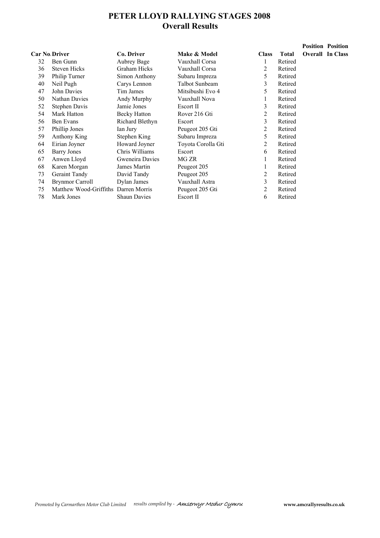# **PETER LLOYD RALLYING STAGES 2008 Overall Results**

|                      |                        |                     |                    |              |              | <b>Position Position</b> |
|----------------------|------------------------|---------------------|--------------------|--------------|--------------|--------------------------|
| <b>Car No Driver</b> |                        | Co. Driver          | Make & Model       | <b>Class</b> | <b>Total</b> | <b>Overall In Class</b>  |
| 32                   | Ben Gunn               | Aubrey Bage         | Vauxhall Corsa     |              | Retired      |                          |
| 36                   | <b>Steven Hicks</b>    | Graham Hicks        | Vauxhall Corsa     | 2            | Retired      |                          |
| 39                   | Philip Turner          | Simon Anthony       | Subaru Impreza     | 5            | Retired      |                          |
| 40                   | Neil Pugh              | Carys Lennon        | Talbot Sunbeam     | 3            | Retired      |                          |
| 47                   | John Davies            | Tim James           | Mitsibushi Evo 4   | 5            | Retired      |                          |
| 50                   | Nathan Davies          | Andy Murphy         | Vauxhall Nova      | 1            | Retired      |                          |
| 52                   | Stephen Davis          | Jamie Jones         | Escort II          | 3            | Retired      |                          |
| 54                   | Mark Hatton            | Becky Hatton        | Rover 216 Gti      | 2            | Retired      |                          |
| 56                   | Ben Evans              | Richard Blethyn     | Escort             | 3            | Retired      |                          |
| 57                   | Phillip Jones          | Ian Jury            | Peugeot 205 Gti    | 2            | Retired      |                          |
| 59                   | Anthony King           | Stephen King        | Subaru Impreza     | 5            | Retired      |                          |
| 64                   | Eirian Joyner          | Howard Joyner       | Toyota Corolla Gti | 2            | Retired      |                          |
| 65                   | <b>Barry Jones</b>     | Chris Williams      | Escort             | 6            | Retired      |                          |
| 67                   | Anwen Lloyd            | Gweneira Davies     | MG ZR              | 1            | Retired      |                          |
| 68                   | Karen Morgan           | James Martin        | Peugeot 205        | 1            | Retired      |                          |
| 73                   | Geraint Tandy          | David Tandy         | Peugeot 205        | 2            | Retired      |                          |
| 74                   | <b>Brynmor Carroll</b> | Dylan James         | Vauxhall Astra     | 3            | Retired      |                          |
| 75                   | Matthew Wood-Griffiths | Darren Morris       | Peugeot 205 Gti    | 2            | Retired      |                          |
| 78                   | Mark Jones             | <b>Shaun Davies</b> | Escort II          | 6            | Retired      |                          |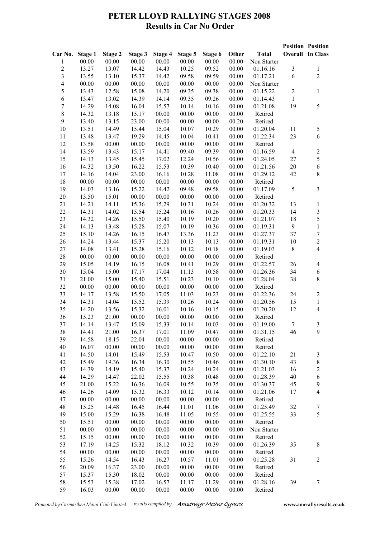# **PETER LLOYD RALLYING STAGES 2008 Results in Car No Order**

|                          |         |         |         |         |         |         |       |              |                  | <b>Position Position</b> |
|--------------------------|---------|---------|---------|---------|---------|---------|-------|--------------|------------------|--------------------------|
| Car No.                  | Stage 1 | Stage 2 | Stage 3 | Stage 4 | Stage 5 | Stage 6 | Other | <b>Total</b> |                  | <b>Overall In Class</b>  |
| 1                        | 00.00   | 00.00   | 00.00   | 00.00   | 00.00   | 00.00   | 00.00 | Non Starter  |                  |                          |
| $\sqrt{2}$               | 13.27   | 13.07   | 14.42   | 14.43   | 10.25   | 09.52   | 00.00 | 01.16.16     | $\mathfrak{Z}$   | $\,1$                    |
| $\overline{\mathbf{3}}$  | 13.55   | 13.10   | 15.37   | 14.42   | 09.58   | 09.59   | 00.00 | 01.17.21     | 6                | $\overline{2}$           |
| $\overline{\mathcal{L}}$ | 00.00   | 00.00   | 00.00   | 00.00   | 00.00   | 00.00   | 00.00 | Non Starter  |                  |                          |
| $\sqrt{5}$               | 13.43   | 12.58   | 15.08   | 14.20   | 09.35   | 09.38   | 00.00 | 01.15.22     | $\boldsymbol{2}$ | $\,1$                    |
| 6                        | 13.47   | 13.02   | 14.39   | 14.14   | 09.35   | 09.26   | 00.00 | 01.14.43     | $\mathbf{1}$     |                          |
| $\boldsymbol{7}$         | 14.29   | 14.08   | 16.04   | 15.57   | 10.14   | 10.16   | 00.00 | 01.21.08     | 19               | 5                        |
| $8\,$                    | 14.32   | 13.18   | 15.17   | 00.00   | 00.00   | 00.00   | 00.00 | Retired      |                  |                          |
| 9                        | 13.40   | 13.15   | 23.00   | 00.00   | 00.00   | 00.00   | 00.20 | Retired      |                  |                          |
| 10                       | 13.51   | 14.49   | 15.44   | 15.04   | 10.07   | 10.29   | 00.00 | 01.20.04     | 11               | $\sqrt{5}$               |
| 11                       | 13.48   | 13.47   | 19.29   | 14.45   | 10.04   | 10.41   | 00.00 | 01.22.34     | 23               | 6                        |
| 12                       | 13.58   | 00.00   | 00.00   | 00.00   | 00.00   | 00.00   | 00.00 | Retired      |                  |                          |
|                          |         |         |         |         |         |         |       |              | $\overline{4}$   |                          |
| 14                       | 13.59   | 13.43   | 15.17   | 14.41   | 09.40   | 09.39   | 00.00 | 01.16.59     |                  | $\overline{c}$           |
| 15                       | 14.13   | 13.45   | 15.45   | 17.02   | 12.24   | 10.56   | 00.00 | 01.24.05     | 27               | 5                        |
| 16                       | 14.32   | 13.50   | 16.22   | 15.53   | 10.39   | 10.40   | 00.00 | 01.21.56     | $20\,$           | $\sqrt{6}$               |
| 17                       | 14.16   | 14.04   | 23.00   | 16.16   | 10.28   | 11.08   | 00.00 | 01.29.12     | 42               | $8\,$                    |
| 18                       | 00.00   | 00.00   | 00.00   | 00.00   | 00.00   | 00.00   | 00.00 | Retired      |                  |                          |
| 19                       | 14.03   | 13.16   | 15.22   | 14.42   | 09.48   | 09.58   | 00.00 | 01.17.09     | $\sqrt{5}$       | $\overline{3}$           |
| $20\,$                   | 13.50   | 15.01   | 00.00   | 00.00   | 00.00   | 00.00   | 00.00 | Retired      |                  |                          |
| 21                       | 14.21   | 14.11   | 15.36   | 15.29   | 10.31   | 10.24   | 00.00 | 01.20.32     | 13               | $\,1\,$                  |
| 22                       | 14.31   | 14.02   | 15.54   | 15.24   | 10.16   | 10.26   | 00.00 | 01.20.33     | 14               | $\overline{\mathbf{3}}$  |
| 23                       | 14.32   | 14.26   | 15.50   | 15.40   | 10.19   | 10.20   | 00.00 | 01.21.07     | 18               | 5                        |
| 24                       | 14.13   | 13.48   | 15.28   | 15.07   | 10.19   | 10.36   | 00.00 | 01.19.31     | $\mathbf{9}$     | $\,1$                    |
| 25                       | 15.10   | 14.26   | 16.15   | 16.47   | 13.36   | 11.23   | 00.00 | 01.27.37     | 37               | $\sqrt{ }$               |
| 26                       | 14.24   | 13.44   | 15.37   | 15.20   | 10.13   | 10.13   | 00.00 | 01.19.31     | $10\,$           | $\overline{c}$           |
| 27                       | 14.08   | 13.41   | 15.28   | 15.16   | 10.12   | 10.18   | 00.00 | 01.19.03     | $8\,$            | $\overline{\mathbf{4}}$  |
| 28                       | 00.00   | 00.00   | 00.00   | 00.00   | 00.00   | 00.00   | 00.00 | Retired      |                  |                          |
| 29                       | 15.05   | 14.19   | 16.15   | 16.08   | 10.41   | 10.29   | 00.00 | 01.22.57     | 26               | $\overline{\mathbf{4}}$  |
| 30                       | 15.04   | 15.00   | 17.17   | 17.04   | 11.13   | 10.58   | 00.00 | 01.26.36     | 34               | $\sqrt{6}$               |
| 31                       | 21.00   | 15.00   | 15.40   | 15.51   | 10.23   | 10.10   | 00.00 | 01.28.04     | 38               | $\,$ $\,$                |
| 32                       | 00.00   | 00.00   | 00.00   | 00.00   | 00.00   | 00.00   | 00.00 | Retired      |                  |                          |
| 33                       | 14.17   | 13.58   | 15.50   | 17.05   | 11.03   | 10.23   | 00.00 | 01.22.36     | 24               | $\overline{c}$           |
| 34                       | 14.31   | 14.04   | 15.52   | 15.39   | 10.26   | 10.24   | 00.00 | 01.20.56     | 15               | $\,1$                    |
| 35                       | 14.20   | 13.56   | 15.32   | 16.01   | 10.16   | 10.15   | 00.00 | 01.20.20     | 12               | $\overline{\mathbf{4}}$  |
| 36                       | 15.23   | 21.00   | 00.00   | 00.00   | 00.00   | 00.00   | 00.00 | Retired      |                  |                          |
| 37                       | 14.14   | 13.47   | 15.09   | 15.33   | 10.14   | 10.03   | 00.00 | 01.19.00     | $\boldsymbol{7}$ | $\mathfrak{Z}$           |
| 38                       | 14.41   | 21.00   | 16.37   | 17.01   | 11.09   | 10.47   | 00.00 | 01.31.15     | 46               | 9                        |
|                          |         |         |         |         | 00.00   |         |       | Retired      |                  |                          |
| 39                       | 14.58   | 18.15   | 22.04   | 00.00   |         | 00.00   | 00.00 |              |                  |                          |
| 40                       | 16.07   | 00.00   | 00.00   | 00.00   | 00.00   | 00.00   | 00.00 | Retired      |                  |                          |
| 41                       | 14.50   | 14.01   | 15.49   | 15.53   | 10.47   | 10.50   | 00.00 | 01.22.10     | 21               | $\sqrt{3}$               |
| 42                       | 15.49   | 19.36   | 16.34   | 16.30   | 10.55   | 10.46   | 00.00 | 01.30.10     | 43               | $\,$ $\,$                |
| 43                       | 14.39   | 14.19   | 15.40   | 15.37   | 10.24   | 10.24   | 00.00 | 01.21.03     | 16               | $\overline{c}$           |
| 44                       | 14.29   | 14.47   | 22.02   | 15.55   | 10.38   | 10.48   | 00.00 | 01.28.39     | 40               | 6                        |
| 45                       | 21.00   | 15.22   | 16.36   | 16.09   | 10.55   | 10.35   | 00.00 | 01.30.37     | 45               | $\mathbf{9}$             |
| 46                       | 14.26   | 14.09   | 15.32   | 16.33   | 10.12   | 10.14   | 00.00 | 01.21.06     | 17               | $\overline{4}$           |
| 47                       | 00.00   | 00.00   | 00.00   | 00.00   | 00.00   | 00.00   | 00.00 | Retired      |                  |                          |
| 48                       | 15.25   | 14.48   | 16.45   | 16.44   | 11.01   | 11.06   | 00.00 | 01.25.49     | 32               | $\sqrt{ }$               |
| 49                       | 15.00   | 15.29   | 16.38   | 16.48   | 11.05   | 10.55   | 00.00 | 01.25.55     | 33               | 5                        |
| 50                       | 15.51   | 00.00   | 00.00   | 00.00   | 00.00   | 00.00   | 00.00 | Retired      |                  |                          |
| 51                       | 00.00   | 00.00   | 00.00   | 00.00   | 00.00   | 00.00   | 00.00 | Non Starter  |                  |                          |
| 52                       | 15.15   | 00.00   | 00.00   | 00.00   | 00.00   | 00.00   | 00.00 | Retired      |                  |                          |
| 53                       | 17.19   | 14.25   | 15.32   | 18.12   | 10.32   | 10.39   | 00.00 | 01.26.39     | 35               | $\,$ $\,$                |
| 54                       | 00.00   | 00.00   | 00.00   | 00.00   | 00.00   | 00.00   | 00.00 | Retired      |                  |                          |
| 55                       | 15.26   | 14.54   | 16.43   | 16.27   | 10.57   | 11.01   | 00.00 | 01.25.28     | 31               | $\boldsymbol{2}$         |
| 56                       | 20.09   | 16.37   | 23.00   | 00.00   | 00.00   | 00.00   | 00.00 | Retired      |                  |                          |
| 57                       | 15.37   | 15.30   | 18.02   | 00.00   | 00.00   | 00.00   | 00.00 | Retired      |                  |                          |
| 58                       | 15.53   | 15.38   | 17.02   | 16.57   | 11.17   | 11.29   | 00.00 | 01.28.16     | 39               | $\boldsymbol{7}$         |
| 59                       | 16.03   | 00.00   | 00.00   | 00.00   | 00.00   | 00.00   | 00.00 | Retired      |                  |                          |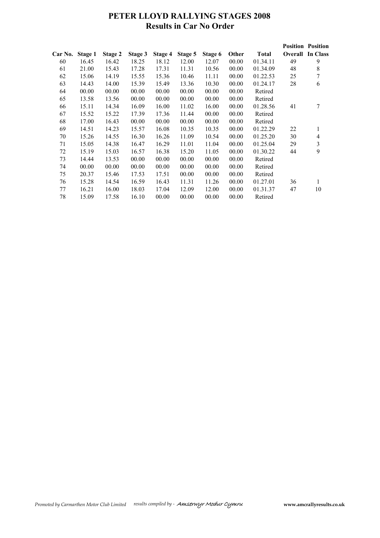# **PETER LLOYD RALLYING STAGES 2008 Results in Car No Order**

|         |         |         |         |         |         |         |       |              |    | <b>Position Position</b> |
|---------|---------|---------|---------|---------|---------|---------|-------|--------------|----|--------------------------|
| Car No. | Stage 1 | Stage 2 | Stage 3 | Stage 4 | Stage 5 | Stage 6 | Other | <b>Total</b> |    | <b>Overall</b> In Class  |
| 60      | 16.45   | 16.42   | 18.25   | 18.12   | 12.00   | 12.07   | 00.00 | 01.34.11     | 49 | 9                        |
| 61      | 21.00   | 15.43   | 17.28   | 17.31   | 11.31   | 10.56   | 00.00 | 01.34.09     | 48 | 8                        |
| 62      | 15.06   | 14.19   | 15.55   | 15.36   | 10.46   | 11.11   | 00.00 | 01.22.53     | 25 | $\overline{7}$           |
| 63      | 14.43   | 14.00   | 15.39   | 15.49   | 13.36   | 10.30   | 00.00 | 01.24.17     | 28 | 6                        |
| 64      | 00.00   | 00.00   | 00.00   | 00.00   | 00.00   | 00.00   | 00.00 | Retired      |    |                          |
| 65      | 13.58   | 13.56   | 00.00   | 00.00   | 00.00   | 00.00   | 00.00 | Retired      |    |                          |
| 66      | 15.11   | 14.34   | 16.09   | 16.00   | 11.02   | 16.00   | 00.00 | 01.28.56     | 41 | 7                        |
| 67      | 15.52   | 15.22   | 17.39   | 17.36   | 11.44   | 00.00   | 00.00 | Retired      |    |                          |
| 68      | 17.00   | 16.43   | 00.00   | 00.00   | 00.00   | 00.00   | 00.00 | Retired      |    |                          |
| 69      | 14.51   | 14.23   | 15.57   | 16.08   | 10.35   | 10.35   | 00.00 | 01.22.29     | 22 | 1                        |
| 70      | 15.26   | 14.55   | 16.30   | 16.26   | 11.09   | 10.54   | 00.00 | 01.25.20     | 30 | $\overline{\mathcal{A}}$ |
| 71      | 15.05   | 14.38   | 16.47   | 16.29   | 11.01   | 11.04   | 00.00 | 01.25.04     | 29 | 3                        |
| 72      | 15.19   | 15.03   | 16.57   | 16.38   | 15.20   | 11.05   | 00.00 | 01.30.22     | 44 | 9                        |
| 73      | 14.44   | 13.53   | 00.00   | 00.00   | 00.00   | 00.00   | 00.00 | Retired      |    |                          |
| 74      | 00.00   | 00.00   | 00.00   | 00.00   | 00.00   | 00.00   | 00.00 | Retired      |    |                          |
| 75      | 20.37   | 15.46   | 17.53   | 17.51   | 00.00   | 00.00   | 00.00 | Retired      |    |                          |
| 76      | 15.28   | 14.54   | 16.59   | 16.43   | 11.31   | 11.26   | 00.00 | 01.27.01     | 36 | 1                        |
| 77      | 16.21   | 16.00   | 18.03   | 17.04   | 12.09   | 12.00   | 00.00 | 01.31.37     | 47 | 10                       |
| 78      | 15.09   | 17.58   | 16.10   | 00.00   | 00.00   | 00.00   | 00.00 | Retired      |    |                          |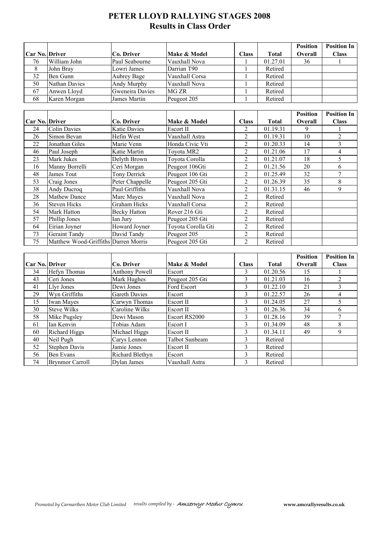# **PETER LLOYD RALLYING STAGES 2008 Results in Class Order**

|                |               |                   |                |              |          | <b>Position</b> | <b>Position In</b> |
|----------------|---------------|-------------------|----------------|--------------|----------|-----------------|--------------------|
| Car No. Driver |               | <b>Co. Driver</b> | Make & Model   | <b>Class</b> | Total    | <b>Overall</b>  | <b>Class</b>       |
| 76             | William John  | Paul Seabourne    | Vauxhall Nova  |              | 01.27.01 | 36              |                    |
| 8              | John Brav     | Lowri James       | Darrian T90    |              | Retired  |                 |                    |
| 32             | Ben Gunn      | Aubrey Bage       | Vauxhall Corsa |              | Retired  |                 |                    |
| 50             | Nathan Davies | Andy Murphy       | Vauxhall Nova  |              | Retired  |                 |                    |
| 67             | Anwen Lloyd   | Gweneira Davies   | MG ZR          |              | Retired  |                 |                    |
| 68             | Karen Morgan  | James Martin      | Peugeot 205    |              | Retired  |                 |                    |

|                       |                                      |                     |                    |                |          | <b>Position</b> | <b>Position In</b> |
|-----------------------|--------------------------------------|---------------------|--------------------|----------------|----------|-----------------|--------------------|
| <b>Car No. Driver</b> |                                      | Co. Driver          | Make & Model       | <b>Class</b>   | Total    | Overall         | <b>Class</b>       |
| 24                    | <b>Colin Davies</b>                  | <b>Katie Davies</b> | Escort II          | 2              | 01.19.31 | 9               |                    |
| 26                    | Simon Bevan                          | Hefin West          | Vauxhall Astra     | 2              | 01.19.31 | 10              | 2                  |
| 22                    | Jonathan Giles                       | Marie Venn          | Honda Civic Vti    | 2              | 01.20.33 | 14              | 3                  |
| 46                    | Paul Joseph                          | Katie Martin        | Toyota MR2         | 2              | 01.21.06 | 17              | 4                  |
| 23                    | Mark Jukes                           | Delyth Brown        | Toyota Corolla     | $\overline{2}$ | 01.21.07 | 18              | 5                  |
| 16                    | Manny Borrelli                       | Ceri Morgan         | Peugeot 106Gti     | 2              | 01.21.56 | 20              | 6                  |
| 48                    | James Tout                           | Tony Derrick        | Peugeot 106 Gti    | 2              | 01.25.49 | 32              |                    |
| 53                    | Craig Jones                          | Peter Chappelle     | Peugeot 205 Gti    | 2              | 01.26.39 | 35              | 8                  |
| 38                    | Andy Ducroq                          | Paul Griffiths      | Vauxhall Nova      | 2              | 01.31.15 | 46              | 9                  |
| 28                    | <b>Mathew Dance</b>                  | Marc Mayes          | Vauxhall Nova      | 2              | Retired  |                 |                    |
| 36                    | <b>Steven Hicks</b>                  | Graham Hicks        | Vauxhall Corsa     | 2              | Retired  |                 |                    |
| 54                    | Mark Hatton                          | <b>Becky Hatton</b> | Rover 216 Gti      | 2              | Retired  |                 |                    |
| 57                    | Phillip Jones                        | Ian Jury            | Peugeot 205 Gti    | $\overline{2}$ | Retired  |                 |                    |
| 64                    | Eirian Joyner                        | Howard Joyner       | Toyota Corolla Gti | $\overline{2}$ | Retired  |                 |                    |
| 73                    | <b>Geraint Tandy</b>                 | David Tandy         | Peugeot 205        | 2              | Retired  |                 |                    |
| 75                    | Matthew Wood-Griffiths Darren Morris |                     | Peugeot 205 Gti    | $\overline{2}$ | Retired  |                 |                    |

|                       |                        |                      |                  |              |              | <b>Position</b> | <b>Position In</b> |
|-----------------------|------------------------|----------------------|------------------|--------------|--------------|-----------------|--------------------|
| <b>Car No. Driver</b> |                        | Co. Driver           | Make & Model     | <b>Class</b> | <b>Total</b> | <b>Overall</b>  | <b>Class</b>       |
| 34                    | Hefyn Thomas           | Anthony Powell       | Escort           | 3            | 01.20.56     | 15              |                    |
| 43                    | Ceri Jones             | Mark Hughes          | Peugeot 205 Gti  | 3            | 01.21.03     | 16              | 2                  |
| 41                    | Llyr Jones             | Dewi Jones           | Ford Escort      | 3            | 01.22.10     | 21              | 3                  |
| 29                    | Wyn Griffiths          | <b>Gareth Davies</b> | Escort           | 3            | 01.22.57     | 26              | 4                  |
| 15                    | Iwan Mayes             | Carwyn Thomas        | <b>Escort II</b> | 3            | 01.24.05     | 27              |                    |
| 30                    | <b>Steve Wilks</b>     | Caroline Wilks       | Escort II        | 3            | 01.26.36     | 34              | 6                  |
| 58                    | Mike Pugsley           | Dewi Mason           | Escort RS2000    | 3            | 01.28.16     | 39              |                    |
| 61                    | Ian Kenvin             | Tobias Adam          | Escort I         | 3            | 01.34.09     | 48              | 8                  |
| 60                    | <b>Richard Higgs</b>   | Michael Higgs        | Escort II        | 3            | 01.34.11     | 49              | 9                  |
| 40                    | Neil Pugh              | Carys Lennon         | Talbot Sunbeam   | 3            | Retired      |                 |                    |
| 52                    | <b>Stephen Davis</b>   | Jamie Jones          | Escort II        | 3            | Retired      |                 |                    |
| 56                    | Ben Evans              | Richard Blethyn      | Escort           | 3            | Retired      |                 |                    |
| 74                    | <b>Brynmor Carroll</b> | Dylan James          | Vauxhall Astra   | 3            | Retired      |                 |                    |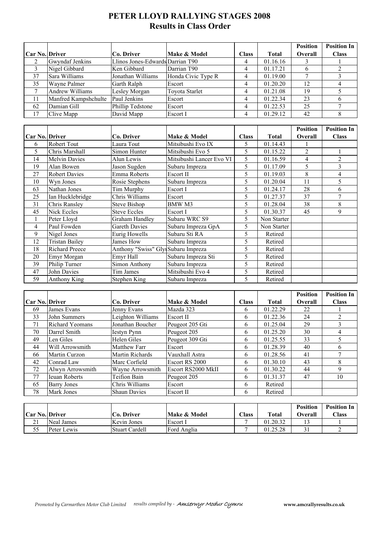# **PETER LLOYD RALLYING STAGES 2008 Results in Class Order**

|                 |                        |                                    |                          |                         |              | <b>Position</b> | <b>Position In</b>      |
|-----------------|------------------------|------------------------------------|--------------------------|-------------------------|--------------|-----------------|-------------------------|
| Car No. Driver  |                        | Co. Driver                         | Make & Model             | <b>Class</b>            | <b>Total</b> | Overall         | <b>Class</b>            |
| $\overline{2}$  | Gwyndaf Jenkins        | Llinos Jones-Edwards Darrian T90   |                          | 4                       | 01.16.16     | 3               |                         |
| $\overline{3}$  | Nigel Gibbard          | Ken Gibbard                        | Darrian T90              | 4                       | 01.17.21     | $\overline{6}$  | $\overline{2}$          |
| 37              | Sara Williams          | Jonathan Williams                  | Honda Civic Type R       | $\overline{\mathbf{4}}$ | 01.19.00     | $\overline{7}$  | $\overline{3}$          |
| 35              | Wayne Palmer           | Garth Ralph                        | Escort                   | $\overline{\mathbf{4}}$ | 01.20.20     | 12              | $\overline{\mathbf{4}}$ |
| $\tau$          | <b>Andrew Williams</b> | Lesley Morgan                      | <b>Toyota Starlet</b>    | 4                       | 01.21.08     | 19              | 5                       |
| 11              | Manfred Kampshchulte   | Paul Jenkins                       | Escort                   | $\overline{\mathbf{4}}$ | 01.22.34     | 23              | 6                       |
| $\overline{62}$ | Damian Gill            | Phillip Tedstone                   | Escort                   | 4                       | 01.22.53     | $\overline{25}$ | $\overline{7}$          |
| 17              | Clive Mapp             | David Mapp                         | Escort I                 | $\overline{\mathbf{4}}$ | 01.29.12     | 42              | 8                       |
|                 |                        |                                    |                          |                         |              |                 |                         |
|                 |                        |                                    |                          |                         |              | <b>Position</b> | <b>Position In</b>      |
| Car No. Driver  |                        | Co. Driver                         | Make & Model             | <b>Class</b>            | <b>Total</b> | Overall         | <b>Class</b>            |
| 6               | <b>Robert Tout</b>     | Laura Tout                         | Mitsibushi Evo IX        | 5                       | 01.14.43     |                 |                         |
| 5               | Chris Marshall         | Simon Hunter                       | Mitsibushi Evo 5         | 5                       | 01.15.22     | $\overline{2}$  | $\mathbf{1}$            |
| 14              | <b>Melvin Davies</b>   | Alun Lewis                         | Mitsibushi Lancer Evo VI | 5                       | 01.16.59     | $\overline{4}$  | $\sqrt{2}$              |
| 19              | Alan Bowen             | Jason Sugden                       | Subaru Impreza           | 5                       | 01.17.09     | 5               | $\overline{3}$          |
| 27              | <b>Robert Davies</b>   | Emma Roberts                       | Escort II                | 5                       | 01.19.03     | $\overline{8}$  | $\overline{\mathbf{4}}$ |
| 10              | Wyn Jones              | Rosie Stephens                     | Subaru Impreza           | 5                       | 01.20.04     | 11              | 5                       |
| 63              | Nathan Jones           | Tim Murphy                         | Escort I                 | 5                       | 01.24.17     | $\overline{28}$ | 6                       |
| 25              | Ian Hucklebridge       | Chris Williams                     | Escort                   | 5                       | 01.27.37     | 37              | $\overline{7}$          |
| 31              | <b>Chris Ransley</b>   | <b>Steve Bishop</b>                | BMW M3                   | 5                       | 01.28.04     | $\overline{38}$ | 8                       |
| 45              | <b>Nick Eccles</b>     | <b>Steve Eccles</b>                | Escort I                 | 5                       | 01.30.37     | 45              | $\overline{9}$          |
| $\mathbf{1}$    | Peter Lloyd            | <b>Graham Handley</b>              | Subaru WRC S9            | 5                       | Non Starter  |                 |                         |
| $\overline{4}$  | Paul Fowden            | <b>Gareth Davies</b>               | Subaru Impreza GpA       | 5                       | Non Starter  |                 |                         |
| 9               | Nigel Jones            | Eurig Howells                      | Subaru Sti RA            | 5                       | Retired      |                 |                         |
| 12              | <b>Tristan Bailey</b>  | James How                          | Subaru Impreza           | 5                       | Retired      |                 |                         |
| 18              | <b>Richard Preece</b>  | Anthony "Swiss" Gly Subaru Impreza |                          | $\overline{5}$          | Retired      |                 |                         |
| 20              | Emyr Morgan            | Emyr Hall                          | Subaru Impreza Sti       | 5                       | Retired      |                 |                         |
| 39              | Philip Turner          | Simon Anthony                      | Subaru Impreza           | 5                       | Retired      |                 |                         |
| 47              | <b>John Davies</b>     | Tim James                          | Mitsibushi Evo 4         | 5                       | Retired      |                 |                         |
| 59              | Anthony King           | Stephen King                       | Subaru Impreza           | 5                       | Retired      |                 |                         |

|                       |                        |                     |                    |              |              | <b>Position</b> | <b>Position In</b> |
|-----------------------|------------------------|---------------------|--------------------|--------------|--------------|-----------------|--------------------|
| <b>Car No. Driver</b> |                        | Co. Driver          | Make & Model       | <b>Class</b> | <b>Total</b> | <b>Overall</b>  | <b>Class</b>       |
| 69                    | James Evans            | Jenny Evans         | Mazda 323          | 6            | 01.22.29     | 22              |                    |
| 33                    | John Summers           | Leighton Williams   | Escort II          | 6            | 01.22.36     | 24              |                    |
| 71                    | <b>Richard Yeomans</b> | Jonathan Boucher    | Peugeot 205 Gti    | 6            | 01.25.04     | 29              |                    |
| 70                    | Darrel Smith           | <b>Iestyn Pynn</b>  | Peugeot 205        | 6            | 01.25.20     | 30              | 4                  |
| 49                    | Len Giles              | Helen Giles         | Peugeot 309 Gti    | 6            | 01.25.55     | 33              |                    |
| 44                    | Will Arrowsmith        | Matthew Farr        | Escort             | 6            | 01.28.39     | 40              | 6                  |
| 66                    | Martin Curzon          | Martin Richards     | Vauxhall Astra     | 6            | 01.28.56     | 41              |                    |
| 42                    | Conrad Law             | Marc Corfield       | Escort RS 2000     | 6            | 01.30.10     | 43              | 8                  |
| 72                    | Alwyn Arrowsmith       | Wayne Arrowsmith    | Escort RS2000 MkII | 6            | 01.30.22     | 44              | 9                  |
| 77                    | <b>Ieuan Roberts</b>   | Teifion Bain        | Peugeot 205        | 6            | 01.31.37     | 47              | 10                 |
| 65                    | <b>Barry Jones</b>     | Chris Williams      | Escort             | 6            | Retired      |                 |                    |
| 78                    | Mark Jones             | <b>Shaun Davies</b> | Escort II          | 6            | Retired      |                 |                    |

| <b>Car No. Driver</b> |             | Co. Driver     | Make & Model | $\text{Class}$ | <b>Total</b> | <b>Position</b><br><b>Dverall</b> | <b>Position In</b><br>$\text{Class}$ |
|-----------------------|-------------|----------------|--------------|----------------|--------------|-----------------------------------|--------------------------------------|
| 21                    | Neal James  | Kevin Jones    | Escort I     |                | 01.20.32     |                                   |                                      |
|                       | Peter Lewis | Stuart Cardell | Ford Anglia  |                | 01.25.28     |                                   |                                      |